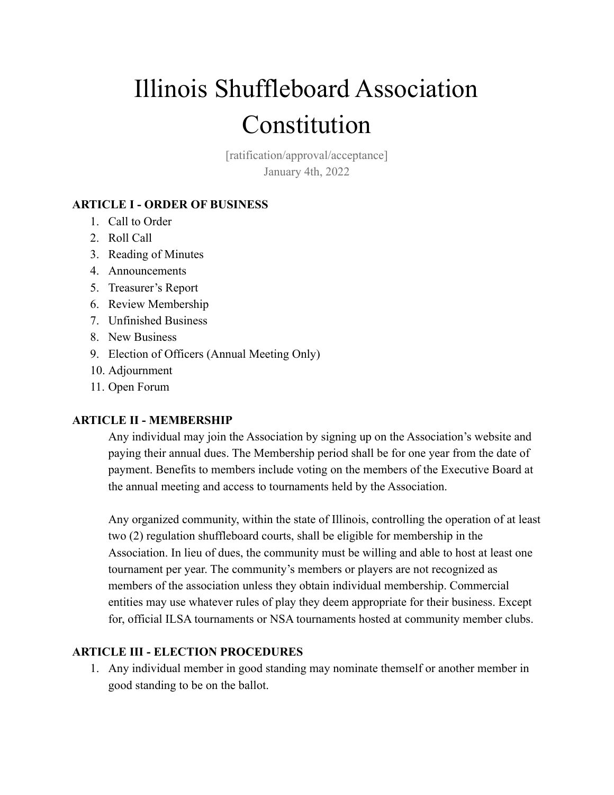# Illinois Shuffleboard Association Constitution

[ratification/approval/acceptance] January 4th, 2022

## **ARTICLE I - ORDER OF BUSINESS**

- 1. Call to Order
- 2. Roll Call
- 3. Reading of Minutes
- 4. Announcements
- 5. Treasurer's Report
- 6. Review Membership
- 7. Unfinished Business
- 8. New Business
- 9. Election of Officers (Annual Meeting Only)
- 10. Adjournment
- 11. Open Forum

### **ARTICLE II - MEMBERSHIP**

Any individual may join the Association by signing up on the Association's website and paying their annual dues. The Membership period shall be for one year from the date of payment. Benefits to members include voting on the members of the Executive Board at the annual meeting and access to tournaments held by the Association.

Any organized community, within the state of Illinois, controlling the operation of at least two (2) regulation shuffleboard courts, shall be eligible for membership in the Association. In lieu of dues, the community must be willing and able to host at least one tournament per year. The community's members or players are not recognized as members of the association unless they obtain individual membership. Commercial entities may use whatever rules of play they deem appropriate for their business. Except for, official ILSA tournaments or NSA tournaments hosted at community member clubs.

### **ARTICLE III - ELECTION PROCEDURES**

1. Any individual member in good standing may nominate themself or another member in good standing to be on the ballot.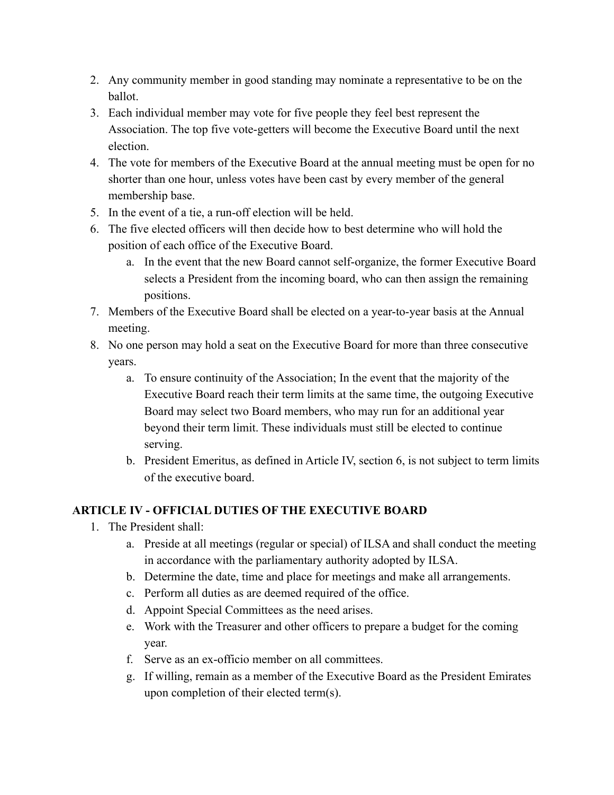- 2. Any community member in good standing may nominate a representative to be on the ballot.
- 3. Each individual member may vote for five people they feel best represent the Association. The top five vote-getters will become the Executive Board until the next election.
- 4. The vote for members of the Executive Board at the annual meeting must be open for no shorter than one hour, unless votes have been cast by every member of the general membership base.
- 5. In the event of a tie, a run-off election will be held.
- 6. The five elected officers will then decide how to best determine who will hold the position of each office of the Executive Board.
	- a. In the event that the new Board cannot self-organize, the former Executive Board selects a President from the incoming board, who can then assign the remaining positions.
- 7. Members of the Executive Board shall be elected on a year-to-year basis at the Annual meeting.
- 8. No one person may hold a seat on the Executive Board for more than three consecutive years.
	- a. To ensure continuity of the Association; In the event that the majority of the Executive Board reach their term limits at the same time, the outgoing Executive Board may select two Board members, who may run for an additional year beyond their term limit. These individuals must still be elected to continue serving.
	- b. President Emeritus, as defined in Article IV, section 6, is not subject to term limits of the executive board.

### **ARTICLE IV - OFFICIAL DUTIES OF THE EXECUTIVE BOARD**

- 1. The President shall:
	- a. Preside at all meetings (regular or special) of ILSA and shall conduct the meeting in accordance with the parliamentary authority adopted by ILSA.
	- b. Determine the date, time and place for meetings and make all arrangements.
	- c. Perform all duties as are deemed required of the office.
	- d. Appoint Special Committees as the need arises.
	- e. Work with the Treasurer and other officers to prepare a budget for the coming year.
	- f. Serve as an ex-officio member on all committees.
	- g. If willing, remain as a member of the Executive Board as the President Emirates upon completion of their elected term(s).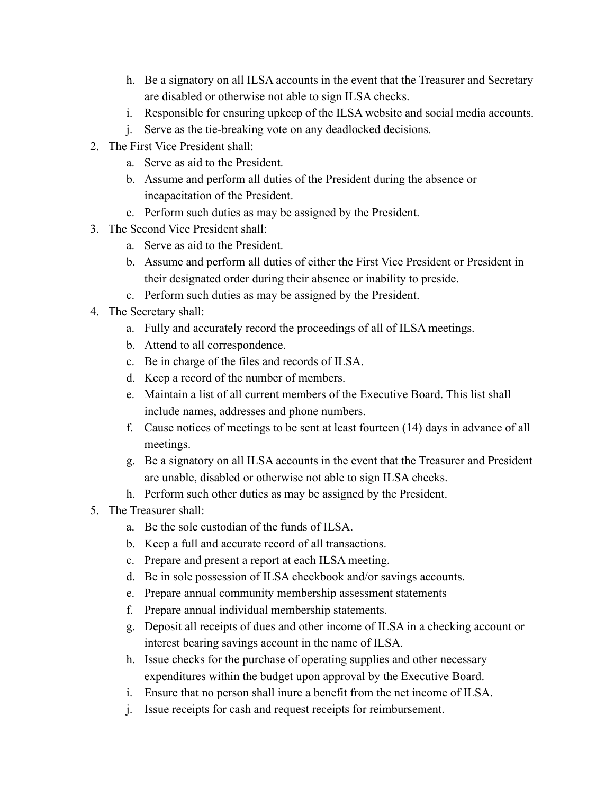- h. Be a signatory on all ILSA accounts in the event that the Treasurer and Secretary are disabled or otherwise not able to sign ILSA checks.
- i. Responsible for ensuring upkeep of the ILSA website and social media accounts.
- j. Serve as the tie-breaking vote on any deadlocked decisions.
- 2. The First Vice President shall:
	- a. Serve as aid to the President.
	- b. Assume and perform all duties of the President during the absence or incapacitation of the President.
	- c. Perform such duties as may be assigned by the President.
- 3. The Second Vice President shall:
	- a. Serve as aid to the President.
	- b. Assume and perform all duties of either the First Vice President or President in their designated order during their absence or inability to preside.
	- c. Perform such duties as may be assigned by the President.
- 4. The Secretary shall:
	- a. Fully and accurately record the proceedings of all of ILSA meetings.
	- b. Attend to all correspondence.
	- c. Be in charge of the files and records of ILSA.
	- d. Keep a record of the number of members.
	- e. Maintain a list of all current members of the Executive Board. This list shall include names, addresses and phone numbers.
	- f. Cause notices of meetings to be sent at least fourteen (14) days in advance of all meetings.
	- g. Be a signatory on all ILSA accounts in the event that the Treasurer and President are unable, disabled or otherwise not able to sign ILSA checks.
	- h. Perform such other duties as may be assigned by the President.
- 5. The Treasurer shall:
	- a. Be the sole custodian of the funds of ILSA.
	- b. Keep a full and accurate record of all transactions.
	- c. Prepare and present a report at each ILSA meeting.
	- d. Be in sole possession of ILSA checkbook and/or savings accounts.
	- e. Prepare annual community membership assessment statements
	- f. Prepare annual individual membership statements.
	- g. Deposit all receipts of dues and other income of ILSA in a checking account or interest bearing savings account in the name of ILSA.
	- h. Issue checks for the purchase of operating supplies and other necessary expenditures within the budget upon approval by the Executive Board.
	- i. Ensure that no person shall inure a benefit from the net income of ILSA.
	- j. Issue receipts for cash and request receipts for reimbursement.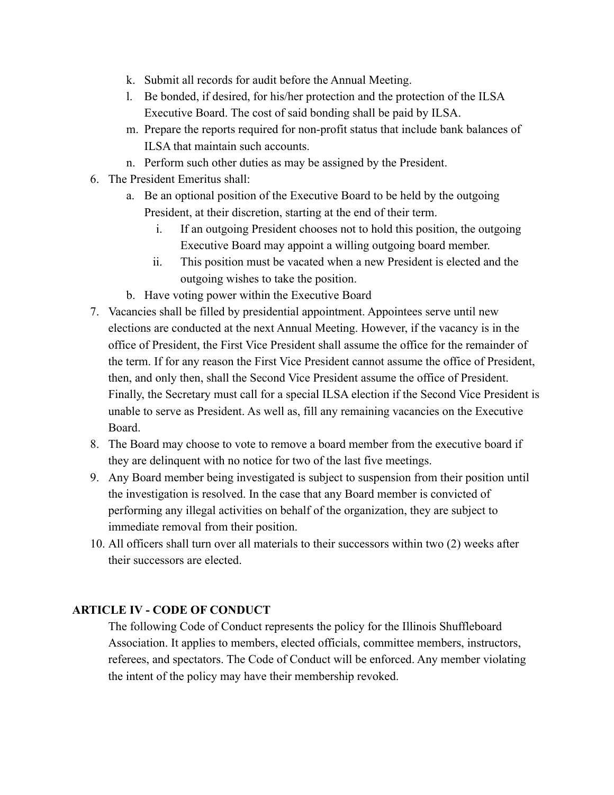- k. Submit all records for audit before the Annual Meeting.
- l. Be bonded, if desired, for his/her protection and the protection of the ILSA Executive Board. The cost of said bonding shall be paid by ILSA.
- m. Prepare the reports required for non-profit status that include bank balances of ILSA that maintain such accounts.
- n. Perform such other duties as may be assigned by the President.
- 6. The President Emeritus shall:
	- a. Be an optional position of the Executive Board to be held by the outgoing President, at their discretion, starting at the end of their term.
		- i. If an outgoing President chooses not to hold this position, the outgoing Executive Board may appoint a willing outgoing board member.
		- ii. This position must be vacated when a new President is elected and the outgoing wishes to take the position.
	- b. Have voting power within the Executive Board
- 7. Vacancies shall be filled by presidential appointment. Appointees serve until new elections are conducted at the next Annual Meeting. However, if the vacancy is in the office of President, the First Vice President shall assume the office for the remainder of the term. If for any reason the First Vice President cannot assume the office of President, then, and only then, shall the Second Vice President assume the office of President. Finally, the Secretary must call for a special ILSA election if the Second Vice President is unable to serve as President. As well as, fill any remaining vacancies on the Executive Board.
- 8. The Board may choose to vote to remove a board member from the executive board if they are delinquent with no notice for two of the last five meetings.
- 9. Any Board member being investigated is subject to suspension from their position until the investigation is resolved. In the case that any Board member is convicted of performing any illegal activities on behalf of the organization, they are subject to immediate removal from their position.
- 10. All officers shall turn over all materials to their successors within two (2) weeks after their successors are elected.

### **ARTICLE IV - CODE OF CONDUCT**

The following Code of Conduct represents the policy for the Illinois Shuffleboard Association. It applies to members, elected officials, committee members, instructors, referees, and spectators. The Code of Conduct will be enforced. Any member violating the intent of the policy may have their membership revoked.